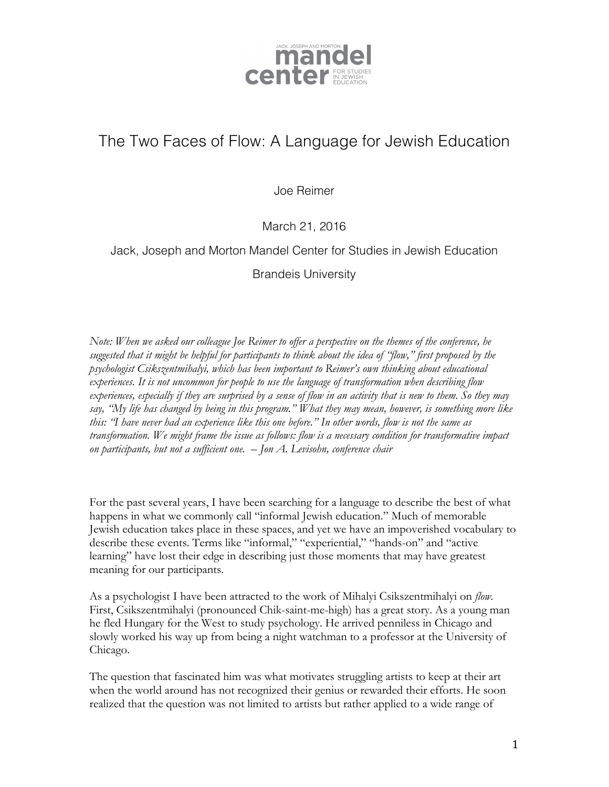

## The Two Faces of Flow: A Language for Jewish Education

Joe Reimer

March 21, 2016

## Jack, Joseph and Morton Mandel Center for Studies in Jewish Education

Brandeis University

*Note: When we asked our colleague Joe Reimer to offer a perspective on the themes of the conference, he suggested that it might be helpful for participants to think about the idea of "flow," first proposed by the psychologist Csikszentmihalyi, which has been important to Reimer's own thinking about educational experiences. It is not uncommon for people to use the language of transformation when describing flow experiences, especially if they are surprised by a sense of flow in an activity that is new to them. So they may say, "My life has changed by being in this program." What they may mean, however, is something more like this: "I have never had an experience like this one before." In other words, flow is not the same as transformation. We might frame the issue as follows: flow is a necessary condition for transformative impact on participants, but not a sufficient one. – Jon A. Levisohn, conference chair*

For the past several years, I have been searching for a language to describe the best of what happens in what we commonly call "informal Jewish education." Much of memorable Jewish education takes place in these spaces, and yet we have an impoverished vocabulary to describe these events. Terms like "informal," "experiential," "hands-on" and "active learning" have lost their edge in describing just those moments that may have greatest meaning for our participants.

As a psychologist I have been attracted to the work of Mihalyi Csikszentmihalyi on *flow.* First, Csikszentmihalyi (pronounced Chik-saint-me-high) has a great story. As a young man he fled Hungary for the West to study psychology. He arrived penniless in Chicago and slowly worked his way up from being a night watchman to a professor at the University of Chicago.

The question that fascinated him was what motivates struggling artists to keep at their art when the world around has not recognized their genius or rewarded their efforts. He soon realized that the question was not limited to artists but rather applied to a wide range of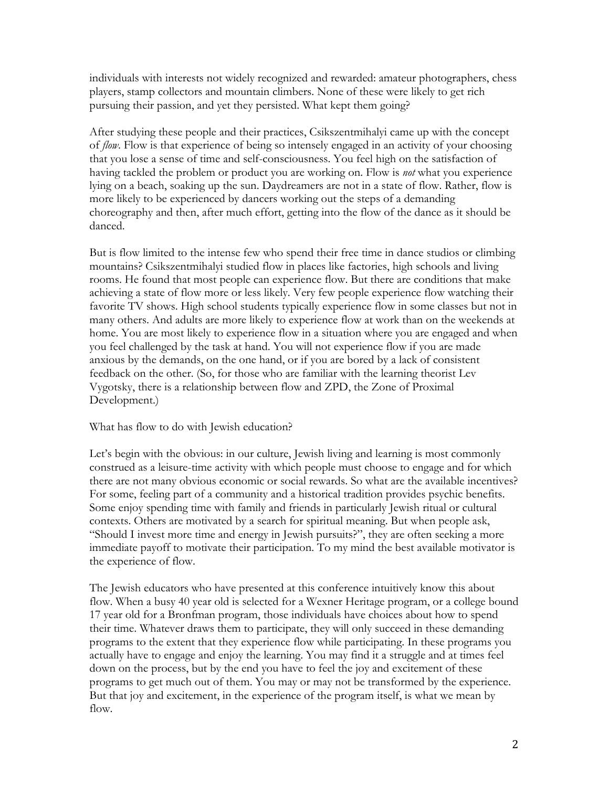individuals with interests not widely recognized and rewarded: amateur photographers, chess players, stamp collectors and mountain climbers. None of these were likely to get rich pursuing their passion, and yet they persisted. What kept them going?

After studying these people and their practices, Csikszentmihalyi came up with the concept of *flow*. Flow is that experience of being so intensely engaged in an activity of your choosing that you lose a sense of time and self-consciousness. You feel high on the satisfaction of having tackled the problem or product you are working on. Flow is *not* what you experience lying on a beach, soaking up the sun. Daydreamers are not in a state of flow. Rather, flow is more likely to be experienced by dancers working out the steps of a demanding choreography and then, after much effort, getting into the flow of the dance as it should be danced.

But is flow limited to the intense few who spend their free time in dance studios or climbing mountains? Csikszentmihalyi studied flow in places like factories, high schools and living rooms. He found that most people can experience flow. But there are conditions that make achieving a state of flow more or less likely. Very few people experience flow watching their favorite TV shows. High school students typically experience flow in some classes but not in many others. And adults are more likely to experience flow at work than on the weekends at home. You are most likely to experience flow in a situation where you are engaged and when you feel challenged by the task at hand. You will not experience flow if you are made anxious by the demands, on the one hand, or if you are bored by a lack of consistent feedback on the other. (So, for those who are familiar with the learning theorist Lev Vygotsky, there is a relationship between flow and ZPD, the Zone of Proximal Development.)

What has flow to do with Jewish education?

Let's begin with the obvious: in our culture, Jewish living and learning is most commonly construed as a leisure-time activity with which people must choose to engage and for which there are not many obvious economic or social rewards. So what are the available incentives? For some, feeling part of a community and a historical tradition provides psychic benefits. Some enjoy spending time with family and friends in particularly Jewish ritual or cultural contexts. Others are motivated by a search for spiritual meaning. But when people ask, "Should I invest more time and energy in Jewish pursuits?", they are often seeking a more immediate payoff to motivate their participation. To my mind the best available motivator is the experience of flow.

The Jewish educators who have presented at this conference intuitively know this about flow. When a busy 40 year old is selected for a Wexner Heritage program, or a college bound 17 year old for a Bronfman program, those individuals have choices about how to spend their time. Whatever draws them to participate, they will only succeed in these demanding programs to the extent that they experience flow while participating. In these programs you actually have to engage and enjoy the learning. You may find it a struggle and at times feel down on the process, but by the end you have to feel the joy and excitement of these programs to get much out of them. You may or may not be transformed by the experience. But that joy and excitement, in the experience of the program itself, is what we mean by flow.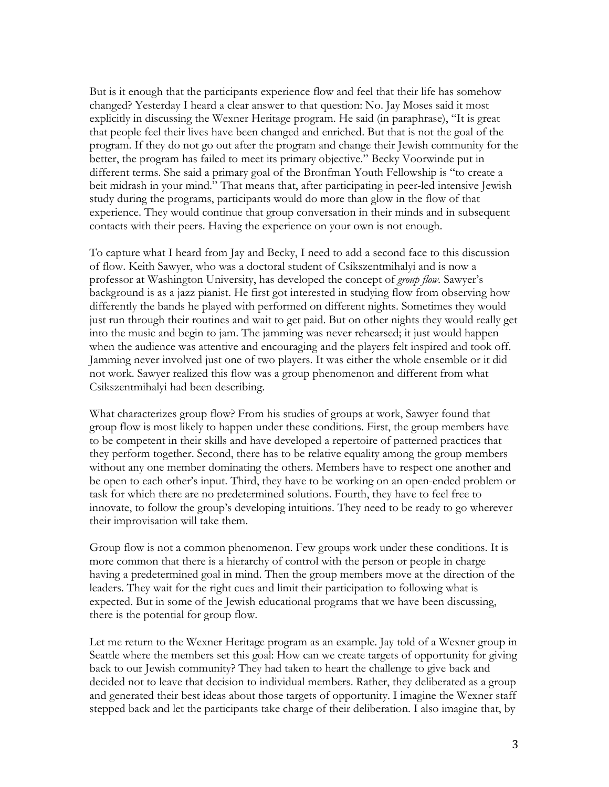But is it enough that the participants experience flow and feel that their life has somehow changed? Yesterday I heard a clear answer to that question: No. Jay Moses said it most explicitly in discussing the Wexner Heritage program. He said (in paraphrase), "It is great that people feel their lives have been changed and enriched. But that is not the goal of the program. If they do not go out after the program and change their Jewish community for the better, the program has failed to meet its primary objective." Becky Voorwinde put in different terms. She said a primary goal of the Bronfman Youth Fellowship is "to create a beit midrash in your mind." That means that, after participating in peer-led intensive Jewish study during the programs, participants would do more than glow in the flow of that experience. They would continue that group conversation in their minds and in subsequent contacts with their peers. Having the experience on your own is not enough.

To capture what I heard from Jay and Becky, I need to add a second face to this discussion of flow. Keith Sawyer, who was a doctoral student of Csikszentmihalyi and is now a professor at Washington University, has developed the concept of *group flow.* Sawyer's background is as a jazz pianist. He first got interested in studying flow from observing how differently the bands he played with performed on different nights. Sometimes they would just run through their routines and wait to get paid. But on other nights they would really get into the music and begin to jam. The jamming was never rehearsed; it just would happen when the audience was attentive and encouraging and the players felt inspired and took off. Jamming never involved just one of two players. It was either the whole ensemble or it did not work. Sawyer realized this flow was a group phenomenon and different from what Csikszentmihalyi had been describing.

What characterizes group flow? From his studies of groups at work, Sawyer found that group flow is most likely to happen under these conditions. First, the group members have to be competent in their skills and have developed a repertoire of patterned practices that they perform together. Second, there has to be relative equality among the group members without any one member dominating the others. Members have to respect one another and be open to each other's input. Third, they have to be working on an open-ended problem or task for which there are no predetermined solutions. Fourth, they have to feel free to innovate, to follow the group's developing intuitions. They need to be ready to go wherever their improvisation will take them.

Group flow is not a common phenomenon. Few groups work under these conditions. It is more common that there is a hierarchy of control with the person or people in charge having a predetermined goal in mind. Then the group members move at the direction of the leaders. They wait for the right cues and limit their participation to following what is expected. But in some of the Jewish educational programs that we have been discussing, there is the potential for group flow.

Let me return to the Wexner Heritage program as an example. Jay told of a Wexner group in Seattle where the members set this goal: How can we create targets of opportunity for giving back to our Jewish community? They had taken to heart the challenge to give back and decided not to leave that decision to individual members. Rather, they deliberated as a group and generated their best ideas about those targets of opportunity. I imagine the Wexner staff stepped back and let the participants take charge of their deliberation. I also imagine that, by